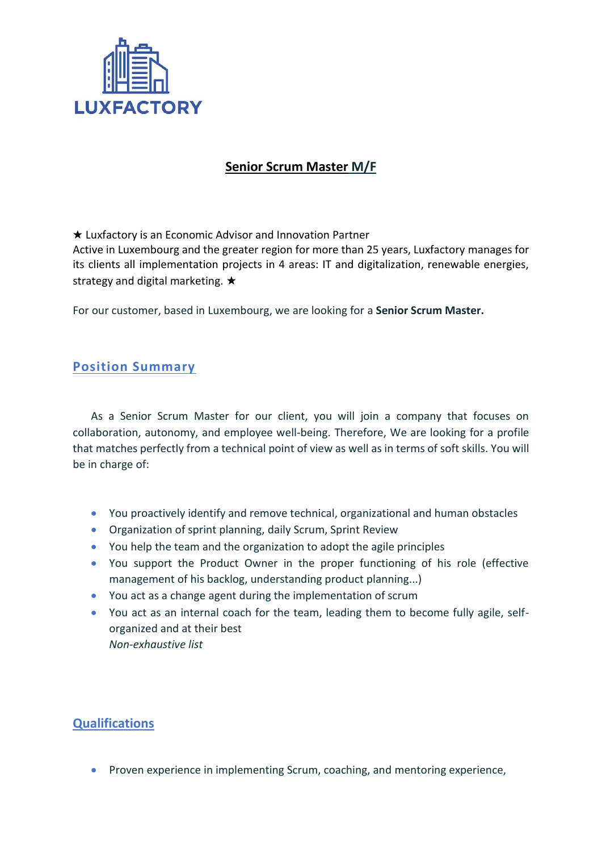

## **Senior Scrum Master M/F**

★ Luxfactory is an Economic Advisor and Innovation Partner

Active in Luxembourg and the greater region for more than 25 years, Luxfactory manages for its clients all implementation projects in 4 areas: IT and digitalization, renewable energies, strategy and digital marketing. ★

For our customer, based in Luxembourg, we are looking for a **Senior Scrum Master.**

## **Position Summary**

As a Senior Scrum Master for our client, you will join a company that focuses on collaboration, autonomy, and employee well-being. Therefore, We are looking for a profile that matches perfectly from a technical point of view as well as in terms of soft skills. You will be in charge of:

- You proactively identify and remove technical, organizational and human obstacles
- Organization of sprint planning, daily Scrum, Sprint Review
- You help the team and the organization to adopt the agile principles
- You support the Product Owner in the proper functioning of his role (effective management of his backlog, understanding product planning...)
- You act as a change agent during the implementation of scrum
- You act as an internal coach for the team, leading them to become fully agile, selforganized and at their best *Non-exhaustive list*

## **Qualifications**

• Proven experience in implementing Scrum, coaching, and mentoring experience,